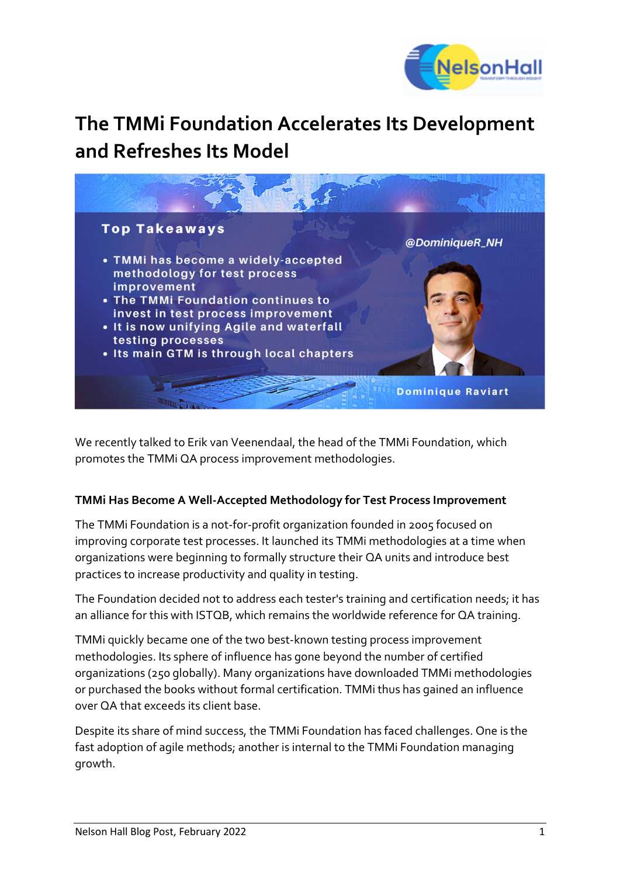

# The TMMi Foundation Accelerates Its Development and Refreshes Its Model



We recently talked to Erik van Veenendaal, the head of the TMMi Foundation, which promotes the TMMi QA process improvement methodologies.

#### TMMi Has Become A Well-Accepted Methodology for Test Process Improvement

The TMMi Foundation is a not-for-profit organization founded in 2005 focused on improving corporate test processes. It launched its TMMi methodologies at a time when organizations were beginning to formally structure their QA units and introduce best practices to increase productivity and quality in testing.

The Foundation decided not to address each tester's training and certification needs; it has an alliance for this with ISTQB, which remains the worldwide reference for QA training.

TMMi quickly became one of the two best-known testing process improvement methodologies. Its sphere of influence has gone beyond the number of certified organizations (250 globally). Many organizations have downloaded TMMi methodologies or purchased the books without formal certification. TMMi thus has gained an influence over QA that exceeds its client base.

Despite its share of mind success, the TMMi Foundation has faced challenges. One is the fast adoption of agile methods; another is internal to the TMMi Foundation managing growth.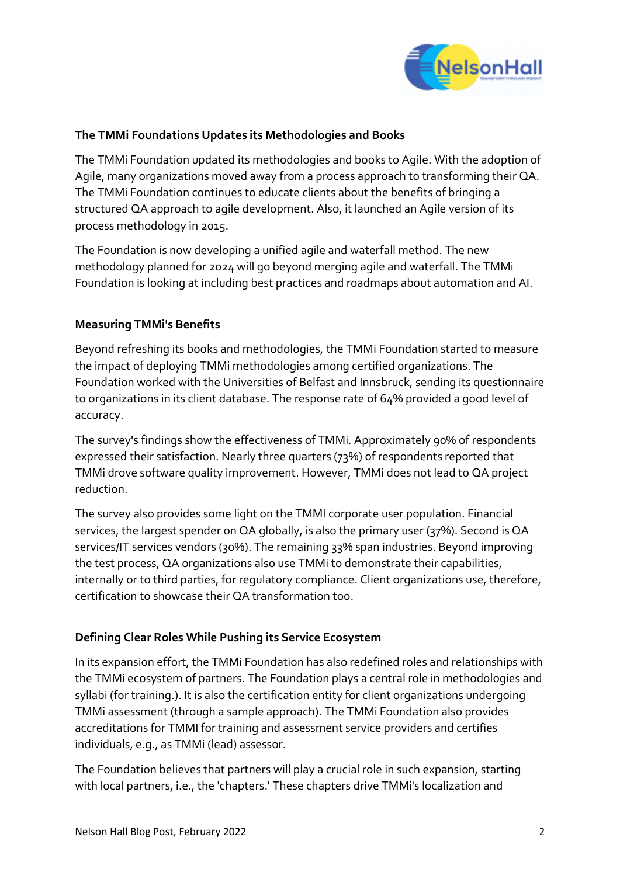

#### The TMMi Foundations Updates its Methodologies and Books

The TMMi Foundation updated its methodologies and books to Agile. With the adoption of Agile, many organizations moved away from a process approach to transforming their QA. The TMMi Foundation continues to educate clients about the benefits of bringing a structured QA approach to agile development. Also, it launched an Agile version of its process methodology in 2015.

The Foundation is now developing a unified agile and waterfall method. The new methodology planned for 2024 will go beyond merging agile and waterfall. The TMMi Foundation is looking at including best practices and roadmaps about automation and AI.

## Measuring TMMi's Benefits

Beyond refreshing its books and methodologies, the TMMi Foundation started to measure the impact of deploying TMMi methodologies among certified organizations. The Foundation worked with the Universities of Belfast and Innsbruck, sending its questionnaire to organizations in its client database. The response rate of 64% provided a good level of accuracy.

The survey's findings show the effectiveness of TMMi. Approximately 90% of respondents expressed their satisfaction. Nearly three quarters (73%) of respondents reported that TMMi drove software quality improvement. However, TMMi does not lead to QA project reduction.

The survey also provides some light on the TMMI corporate user population. Financial services, the largest spender on QA globally, is also the primary user (37%). Second is QA services/IT services vendors (30%). The remaining 33% span industries. Beyond improving the test process, QA organizations also use TMMi to demonstrate their capabilities, internally or to third parties, for regulatory compliance. Client organizations use, therefore, certification to showcase their QA transformation too.

#### Defining Clear Roles While Pushing its Service Ecosystem

In its expansion effort, the TMMi Foundation has also redefined roles and relationships with the TMMi ecosystem of partners. The Foundation plays a central role in methodologies and syllabi (for training.). It is also the certification entity for client organizations undergoing TMMi assessment (through a sample approach). The TMMi Foundation also provides accreditations for TMMI for training and assessment service providers and certifies individuals, e.g., as TMMi (lead) assessor.

The Foundation believes that partners will play a crucial role in such expansion, starting with local partners, i.e., the 'chapters.' These chapters drive TMMi's localization and